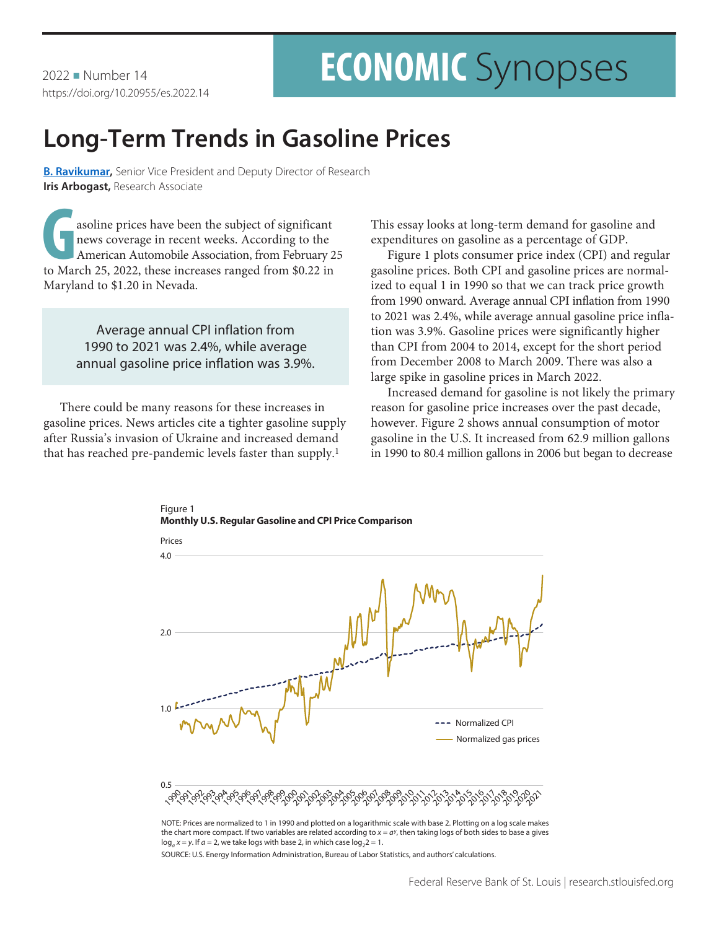2022 Number 14 https://doi.org/10.20955/es.2022.14

# **ECONOMIC** Synopses

## **Long-Term Trends in Gasoline Prices**

**[B. Ravikumar,](https://research.stlouisfed.org/econ/ravikumar/sel/)** Senior Vice President and Deputy Director of Research **Iris Arbogast,** Research Associate

asoline prices have been the subject of significant<br>news coverage in recent weeks. According to the<br>American Automobile Association, from February 2<br>to March 25, 2022, these increases ranged from \$0.22 in news coverage in recent weeks. According to the American Automobile Association, from February 25 to March 25, 2022, these increases ranged from \$0.22 in Maryland to \$1.20 in Nevada.

> Average annual CPI inflation from 1990 to 2021 was 2.4%, while average annual gasoline price inflation was 3.9%.

There could be many reasons for these increases in gasoline prices. News articles cite a tighter gasoline supply after Russia's invasion of Ukraine and increased demand that has reached pre-pandemic levels faster than supply.<sup>1</sup>

This essay looks at long-term demand for gasoline and expenditures on gasoline as a percentage of GDP.

Figure 1 plots consumer price index (CPI) and regular gasoline prices. Both CPI and gasoline prices are normalized to equal 1 in 1990 so that we can track price growth from 1990 onward. Average annual CPI inflation from 1990 to 2021 was 2.4%, while average annual gasoline price inflation was 3.9%. Gasoline prices were significantly higher than CPI from 2004 to 2014, except for the short period from December 2008 to March 2009. There was also a large spike in gasoline prices in March 2022.

Increased demand for gasoline is not likely the primary reason for gasoline price increases over the past decade, however. Figure 2 shows annual consumption of motor gasoline in the U.S. It increased from 62.9 million gallons in 1990 to 80.4 million gallons in 2006 but began to decrease



NOTE: Prices are normalized to 1 in 1990 and plotted on a logarithmic scale with base 2. Plotting on a log scale makes the chart more compact. If two variables are related according to  $x = a^y$ , then taking logs of both sides to base a gives  $\log_a x = y$ . If  $a = 2$ , we take logs with base 2, in which case  $\log_2 2 = 1$ .

SOURCE: U.S. Energy Information Administration, Bureau of Labor Statistics, and authors' calculations.